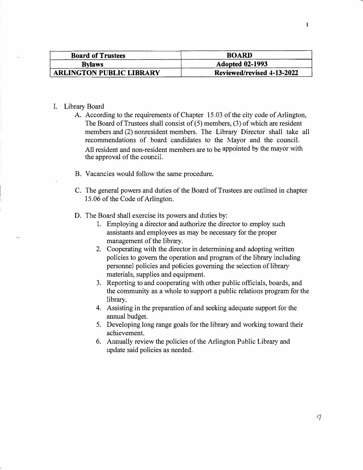| <b>Board of Trustees</b>        | <b>BOARD</b>               |
|---------------------------------|----------------------------|
| <b>Bylaws</b>                   | <b>Adopted 02-1993</b>     |
| <b>ARLINGTON PUBLIC LIBRARY</b> | Reviewed/revised 4-13-2022 |

#### I. Library Board

- A. According to the requirements of Chapter 15.03 of the city code of Arlington, The Board of Trustees shall consist of  $(5)$  members,  $(3)$  of which are resident members and (2) nonresident members. The Library Director shall take all recommendations of board candidates to the Mayor and the council. All resident and non-resident members are to be appointed by the mayor with the approval of the council.
- B. Vacancies would follow the same procedure.
- C. The general powers and duties of the Board of Trustees are outlined in chapter 15.06 of the Code of Arlington.
- D. The Board shall exercise its powers and duties by:
	- 1. Employing a director and authorize the director to employ such assistants and employees as may be necessary for the proper management of the library.
	- 2. Cooperating with the director in determining and adopting written policies to govern the operation and program of the library including personnel policies and policies governing the selection of library materials, supplies and equipment.
	- 3. Reporting to and cooperating with other public officials, boards, and the community as a whole to support a public relations program for the library.
	- 4. Assisting in the preparation of and seeking adequate support for the annual budget.
	- 5. Developing long range goals for the library and working toward their achievement.
	- 6. Annually review the policies of the Arlington Public Library and update said policies as needed.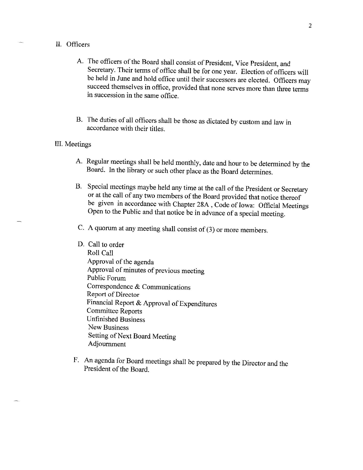# II. Officers

- A. The officers of the Board shall consist of President, Vice President, and Secretary. Their terms of office shall be for one year. Election of officers will be held in June and hold office until their successors are elected. Officers may succeed themselves in office, provided that none serves more than three terms in succession in the same office.
- B. The duties of all officers shall be those as dictated by custom and law in accordance with their titles.

# III. Meetings

- A. Regular meetings shall be held monthly, date and hour to be determined by the Board. In the library or such other place as the Board determines.
- B. Special meetings maybe held any time at the call of the President or Secretary or at the call of any two members of the Board provided that notice thereof be given in accordance with Chapter 28A, Code of Iowa: Official Meetings Open to the Public and that notice be in advance of a special meeting.
- C. A quorum at any meeting shall consist of (3) or more members.
- D. Call to order Roll Call Approval of the agenda Approval of minutes of previous meeting Public Forum Correspondence & Communications Report of Director Financial Report & Approval of Expenditures **Committee Reports Unfinished Business New Business** Setting of Next Board Meeting Adjournment
- F. An agenda for Board meetings shall be prepared by the Director and the President of the Board.